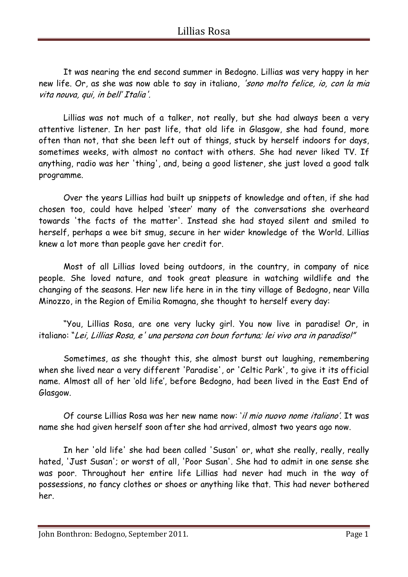It was nearing the end second summer in Bedogno. Lillias was very happy in her new life. Or, as she was now able to say in italiano, 'sono molto felice, io, con la mia vita nouva, qui, in bell' Italia'.

Lillias was not much of a talker, not really, but she had always been a very attentive listener. In her past life, that old life in Glasgow, she had found, more often than not, that she been left out of things, stuck by herself indoors for days, sometimes weeks, with almost no contact with others. She had never liked TV. If anything, radio was her 'thing', and, being a good listener, she just loved a good talk programme.

Over the years Lillias had built up snippets of knowledge and often, if she had chosen too, could have helped 'steer' many of the conversations she overheard towards 'the facts of the matter'. Instead she had stayed silent and smiled to herself, perhaps a wee bit smug, secure in her wider knowledge of the World. Lillias knew a lot more than people gave her credit for.

Most of all Lillias loved being outdoors, in the country, in company of nice people. She loved nature, and took great pleasure in watching wildlife and the changing of the seasons. Her new life here in in the tiny village of Bedogno, near Villa Minozzo, in the Region of Emilia Romagna, she thought to herself every day:

"You, Lillias Rosa, are one very lucky girl. You now live in paradise! Or, in italiano: "Lei, Lillias Rosa, e' una persona con boun fortuna; lei vivo ora in paradiso!"

Sometimes, as she thought this, she almost burst out laughing, remembering when she lived near a very different 'Paradise', or 'Celtic Park', to give it its official name. Almost all of her 'old life', before Bedogno, had been lived in the East End of Glasgow.

Of course Lillias Rosa was her new name now: 'il mio nuovo nome italiano'. It was name she had given herself soon after she had arrived, almost two years ago now.

In her 'old life' she had been called 'Susan' or, what she really, really, really hated, 'Just Susan'; or worst of all, 'Poor Susan'. She had to admit in one sense she was poor. Throughout her entire life Lillias had never had much in the way of possessions, no fancy clothes or shoes or anything like that. This had never bothered her.

John Bonthron: Bedogno, September 2011. The same state of the Page 1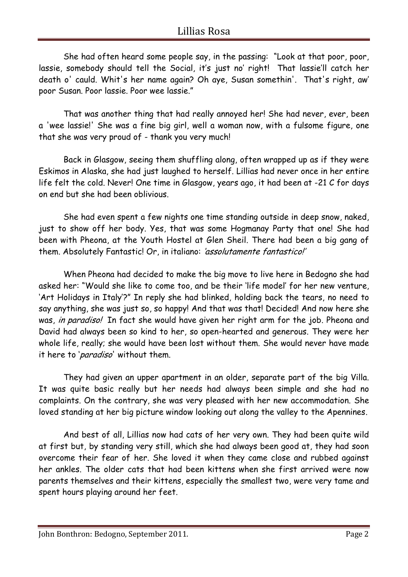## Lillias Rosa

She had often heard some people say, in the passing: "Look at that poor, poor, lassie, somebody should tell the Social, it's just no' right! That lassie'll catch her death o' cauld. Whit's her name again? Oh aye, Susan somethin'. That's right, aw' poor Susan. Poor lassie. Poor wee lassie."

That was another thing that had really annoyed her! She had never, ever, been a 'wee lassie!' She was a fine big girl, well a woman now, with a fulsome figure, one that she was very proud of - thank you very much!

Back in Glasgow, seeing them shuffling along, often wrapped up as if they were Eskimos in Alaska, she had just laughed to herself. Lillias had never once in her entire life felt the cold. Never! One time in Glasgow, years ago, it had been at -21 C for days on end but she had been oblivious.

She had even spent a few nights one time standing outside in deep snow, naked, just to show off her body. Yes, that was some Hogmanay Party that one! She had been with Pheona, at the Youth Hostel at Glen Sheil. There had been a big gang of them. Absolutely Fantastic! Or, in italiano: 'assolutamente fantastico!'

When Pheona had decided to make the big move to live here in Bedogno she had asked her: "Would she like to come too, and be their 'life model' for her new venture, 'Art Holidays in Italy'?" In reply she had blinked, holding back the tears, no need to say anything, she was just so, so happy! And that was that! Decided! And now here she was, in paradiso! In fact she would have given her right arm for the job. Pheona and David had always been so kind to her, so open-hearted and generous. They were her whole life, really; she would have been lost without them. She would never have made it here to '*paradiso*' without them.

They had given an upper apartment in an older, separate part of the big Villa. It was quite basic really but her needs had always been simple and she had no complaints. On the contrary, she was very pleased with her new accommodation. She loved standing at her big picture window looking out along the valley to the Apennines.

And best of all, Lillias now had cats of her very own. They had been quite wild at first but, by standing very still, which she had always been good at, they had soon overcome their fear of her. She loved it when they came close and rubbed against her ankles. The older cats that had been kittens when she first arrived were now parents themselves and their kittens, especially the smallest two, were very tame and spent hours playing around her feet.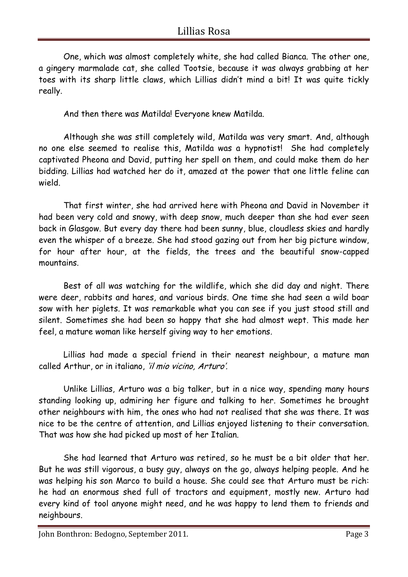## Lillias Rosa

One, which was almost completely white, she had called Bianca. The other one, a gingery marmalade cat, she called Tootsie, because it was always grabbing at her toes with its sharp little claws, which Lillias didn't mind a bit! It was quite tickly really.

And then there was Matilda! Everyone knew Matilda.

Although she was still completely wild, Matilda was very smart. And, although no one else seemed to realise this, Matilda was a hypnotist! She had completely captivated Pheona and David, putting her spell on them, and could make them do her bidding. Lillias had watched her do it, amazed at the power that one little feline can wield.

That first winter, she had arrived here with Pheona and David in November it had been very cold and snowy, with deep snow, much deeper than she had ever seen back in Glasgow. But every day there had been sunny, blue, cloudless skies and hardly even the whisper of a breeze. She had stood gazing out from her big picture window, for hour after hour, at the fields, the trees and the beautiful snow-capped mountains.

Best of all was watching for the wildlife, which she did day and night. There were deer, rabbits and hares, and various birds. One time she had seen a wild boar sow with her piglets. It was remarkable what you can see if you just stood still and silent. Sometimes she had been so happy that she had almost wept. This made her feel, a mature woman like herself giving way to her emotions.

Lillias had made a special friend in their nearest neighbour, a mature man called Arthur, or in italiano, 'il mio vicino, Arturo'.

Unlike Lillias, Arturo was a big talker, but in a nice way, spending many hours standing looking up, admiring her figure and talking to her. Sometimes he brought other neighbours with him, the ones who had not realised that she was there. It was nice to be the centre of attention, and Lillias enjoyed listening to their conversation. That was how she had picked up most of her Italian.

She had learned that Arturo was retired, so he must be a bit older that her. But he was still vigorous, a busy guy, always on the go, always helping people. And he was helping his son Marco to build a house. She could see that Arturo must be rich: he had an enormous shed full of tractors and equipment, mostly new. Arturo had every kind of tool anyone might need, and he was happy to lend them to friends and neighbours.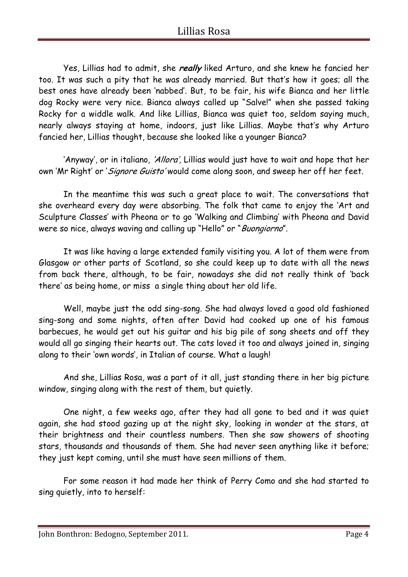Yes, Lillias had to admit, she **really** liked Arturo, and she knew he fancied her too. It was such a pity that he was already married. But that's how it goes; all the best ones have already been 'nabbed'. But, to be fair, his wife Bianca and her little dog Rocky were very nice. Bianca always called up "Salve!" when she passed taking Rocky for a widdle walk. And like Lillias, Bianca was quiet too, seldom saying much, nearly always staying at home, indoors, just like Lillias. Maybe that's why Arturo fancied her, Lillias thought, because she looked like a younger Bianca?

'Anyway', or in italiano, 'Allora', Lillias would just have to wait and hope that her own 'Mr Right' or 'Signore Guisto' would come along soon, and sweep her off her feet.

In the meantime this was such a great place to wait. The conversations that she overheard every day were absorbing. The folk that came to enjoy the 'Art and Sculpture Classes' with Pheona or to go 'Walking and Climbing' with Pheona and David were so nice, always waving and calling up "Hello" or "Buongiorno".

It was like having a large extended family visiting you. A lot of them were from Glasgow or other parts of Scotland, so she could keep up to date with all the news from back there, although, to be fair, nowadays she did not really think of 'back there' as being home, or miss a single thing about her old life.

Well, maybe just the odd sing-song. She had always loved a good old fashioned sing-song and some nights, often after David had cooked up one of his famous barbecues, he would get out his guitar and his big pile of song sheets and off they would all go singing their hearts out. The cats loved it too and always joined in, singing along to their 'own words', in Italian of course. What a laugh!

And she, Lillias Rosa, was a part of it all, just standing there in her big picture window, singing along with the rest of them, but quietly.

One night, a few weeks ago, after they had all gone to bed and it was quiet again, she had stood gazing up at the night sky, looking in wonder at the stars, at their brightness and their countless numbers. Then she saw showers of shooting stars, thousands and thousands of them. She had never seen anything like it before; they just kept coming, until she must have seen millions of them.

For some reason it had made her think of Perry Como and she had started to sing quietly, into to herself:

John Bonthron: Bedogno, September 2011. The same state of the Page 4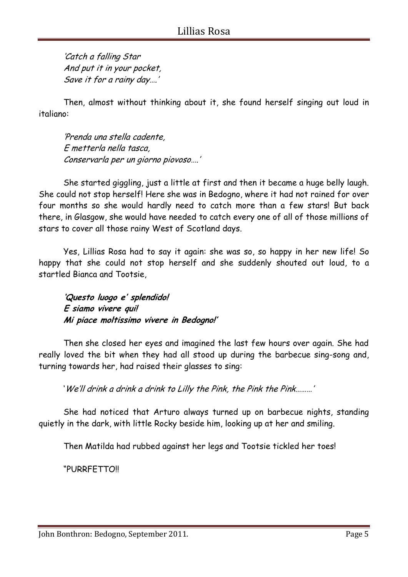'Catch a falling Star And put it in your pocket, Save it for a rainy day….'

Then, almost without thinking about it, she found herself singing out loud in italiano:

'Prenda una stella cadente, E metterla nella tasca, Conservarla per un giorno piovoso….'

She started giggling, just a little at first and then it became a huge belly laugh. She could not stop herself! Here she was in Bedogno, where it had not rained for over four months so she would hardly need to catch more than a few stars! But back there, in Glasgow, she would have needed to catch every one of all of those millions of stars to cover all those rainy West of Scotland days.

Yes, Lillias Rosa had to say it again: she was so, so happy in her new life! So happy that she could not stop herself and she suddenly shouted out loud, to a startled Bianca and Tootsie,

**'Questo luogo e' splendido! E siamo vivere qui! Mi piace moltissimo vivere in Bedogno!'**

Then she closed her eyes and imagined the last few hours over again. She had really loved the bit when they had all stood up during the barbecue sing-song and, turning towards her, had raised their glasses to sing:

'We'll drink a drink a drink to Lilly the Pink, the Pink the Pink………'

She had noticed that Arturo always turned up on barbecue nights, standing quietly in the dark, with little Rocky beside him, looking up at her and smiling.

Then Matilda had rubbed against her legs and Tootsie tickled her toes!

"PURRFETTO!!

John Bonthron: Bedogno, September 2011. The same state of the Page 5